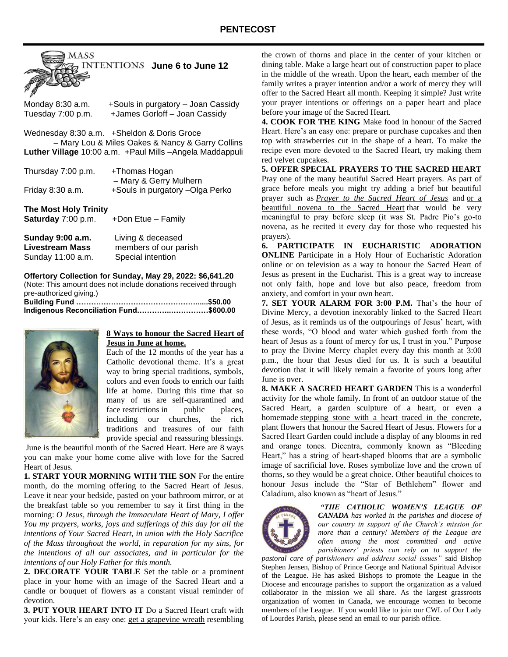

Monday 8:30 a.m. +Souls in purgatory – Joan Cassidy Tuesday 7:00 p.m. +James Gorloff – Joan Cassidy

Wednesday 8:30 a.m. +Sheldon & Doris Groce – Mary Lou & Miles Oakes & Nancy & Garry Collins **Luther Village** 10:00 a.m. +Paul Mills –Angela Maddappuli

| Thursday 7:00 p.m.    | +Thomas Hogan                   |
|-----------------------|---------------------------------|
|                       | - Mary & Gerry Mulhern          |
| Friday 8:30 a.m.      | +Souls in purgatory -Olga Perko |
|                       |                                 |
| The Most Holy Trinity |                                 |

**The Most Holy Trinity Saturday** 7:00 p.m. +Don Etue – Family

| Sunday 9:00 a.m.       | Living & deceased     |
|------------------------|-----------------------|
| <b>Livestream Mass</b> | members of our parish |
| Sunday 11:00 a.m.      | Special intention     |

**Offertory Collection for Sunday, May 29, 2022: \$6,641.20** (Note: This amount does not include donations received through pre-authorized giving.) **Building Fund …………………………………………......\$50.00 Indigenous Reconciliation Fund…………..……………\$600.00**



### **8 Ways to honour the Sacred Heart of Jesus in June at home.**

Each of the 12 months of the year has a Catholic devotional theme. It's a great way to bring special traditions, symbols, colors and even foods to enrich our faith life at home. During this time that so many of us are self-quarantined and face restrictions in public places, including our churches, the rich traditions and treasures of our faith provide special and reassuring blessings.

June is the beautiful month of the Sacred Heart. Here are 8 ways you can make your home come alive with love for the Sacred Heart of Jesus.

**1. START YOUR MORNING WITH THE SON** For the entire month, do the morning offering to the Sacred Heart of Jesus. Leave it near your bedside, pasted on your bathroom mirror, or at the breakfast table so you remember to say it first thing in the morning: *O Jesus, through the Immaculate Heart of Mary, I offer You my prayers, works, joys and sufferings of this day for all the intentions of Your Sacred Heart, in union with the Holy Sacrifice of the Mass throughout the world, in reparation for my sins, for the intentions of all our associates, and in particular for the intentions of our Holy Father for this month.*

**2. DECORATE YOUR TABLE** Set the table or a prominent place in your home with an image of the Sacred Heart and a candle or bouquet of flowers as a constant visual reminder of devotion.

**3. PUT YOUR HEART INTO IT** Do a Sacred Heart craft with your kids. Here's an easy one: [get a grapevine wreath](https://www.hobbylobby.com/Floral-Wedding/Floral-Supplies/Wreaths-Forms/Grapevine-Wreath---18%22/p/95272) resembling

the crown of thorns and place in the center of your kitchen or dining table. Make a large heart out of construction paper to place in the middle of the wreath. Upon the heart, each member of the family writes a prayer intention and/or a work of mercy they will offer to the Sacred Heart all month. Keeping it simple? Just write your prayer intentions or offerings on a paper heart and place before your image of the Sacred Heart.

**4. COOK FOR THE KING** Make food in honour of the Sacred Heart. Here's an easy one: prepare or purchase cupcakes and then top with strawberries cut in the shape of a heart. To make the recipe even more devoted to the Sacred Heart, try making them red velvet cupcakes.

**5. OFFER SPECIAL PRAYERS TO THE SACRED HEART** Pray one of the many beautiful Sacred Heart prayers. As part of grace before meals you might try adding a brief but beautiful prayer such as *[Prayer to the Sacred Heart of Jesus](https://www.amm.org/prayers/sacredheartjesus.aspx)* and [or a](https://www.ewtn.com/catholicism/devotions/novena-prayer-to-the-sacred-heart-311)  [beautiful novena to the Sacred Heart](https://www.ewtn.com/catholicism/devotions/novena-prayer-to-the-sacred-heart-311) that would be very meaningful to pray before sleep (it was St. Padre Pio's go-to novena, as he recited it every day for those who requested his prayers).

**6. PARTICIPATE IN EUCHARISTIC ADORATION ONLINE** Participate in a Holy Hour of Eucharistic Adoration online or on television as a way to honour the Sacred Heart of Jesus as present in the Eucharist. This is a great way to increase not only faith, hope and love but also peace, freedom from anxiety, and comfort in your own heart.

**7. SET YOUR ALARM FOR 3:00 P.M.** That's the hour of Divine Mercy, a devotion inexorably linked to the Sacred Heart of Jesus, as it reminds us of the outpourings of Jesus' heart, with these words, "O blood and water which gushed forth from the heart of Jesus as a fount of mercy for us, I trust in you." Purpose to pray the Divine Mercy chaplet every day this month at 3:00 p.m., the hour that Jesus died for us. It is such a beautiful devotion that it will likely remain a favorite of yours long after June is over.

**8. MAKE A SACRED HEART GARDEN** This is a wonderful activity for the whole family. In front of an outdoor statue of the Sacred Heart, a garden sculpture of a heart, or even a homemade [stepping stone with a heart traced in the](https://www.hobbylobby.com/Crafts-Hobbies/Mosaics/Kits/Make-Your-Garden-Stepping-Stone-Kit/p/21872?gclid=EAIaIQobChMIquvaic7D4gIVWAOGCh30uwMdEAQYAiABEgJmHPD_BwE) concrete, plant flowers that honour the Sacred Heart of Jesus. Flowers for a Sacred Heart Garden could include a display of any blooms in red and orange tones. Dicentra, commonly known as "Bleeding Heart," has a string of heart-shaped blooms that are a symbolic image of sacrificial love. Roses symbolize love and the crown of thorns, so they would be a great choice. Other beautiful choices to honour Jesus include the "Star of Bethlehem" flower and Caladium, also known as "heart of Jesus."



*"THE CATHOLIC WOMEN'S LEAGUE OF CANADA has worked in the parishes and diocese of our country in support of the Church's mission for more than a century! Members of the League are often among the most committed and active parishioners' priests can rely on to support the* 

*pastoral care of parishioners and address social issues"* said Bishop Stephen Jensen, Bishop of Prince George and National Spiritual Advisor of the League. He has asked Bishops to promote the League in the Diocese and encourage parishes to support the organization as a valued collaborator in the mission we all share. As the largest grassroots organization of women in Canada, we encourage women to become members of the League. If you would like to join our CWL of Our Lady of Lourdes Parish, please send an email to our parish office.